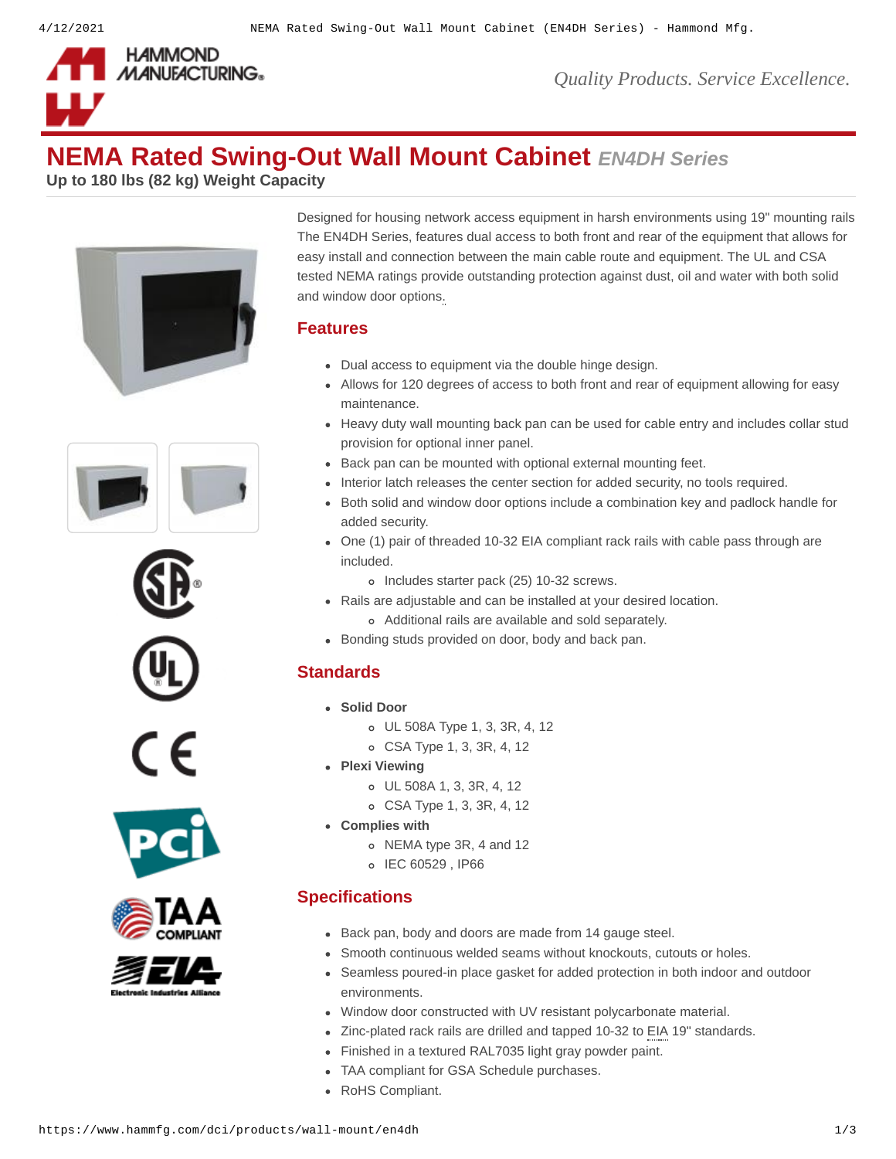

# **NEMA Rated Swing-Out Wall Mount Cabinet** *EN4DH Series*

**Up to 180 lbs (82 kg) Weight Capacity**















Designed for housing network access equipment in harsh environments using 19" mounting rails The EN4DH Series, features dual access to both front and rear of the equipment that allows for easy install and connection between the main cable route and equipment. The UL and CSA tested NEMA ratings provide outstanding protection against dust, oil and water with both solid and window door options.

#### **Features**

- Dual access to equipment via the double hinge design.
- Allows for 120 degrees of access to both front and rear of equipment allowing for easy maintenance.
- Heavy duty wall mounting back pan can be used for cable entry and includes collar stud provision for optional inner panel.
- Back pan can be mounted with optional external mounting feet.
- Interior latch releases the center section for added security, no tools required.
- Both solid and window door options include a combination key and padlock handle for added security.
- One (1) pair of threaded 10-32 EIA compliant rack rails with cable pass through are included.
	- o Includes starter pack (25) 10-32 screws.
- Rails are adjustable and can be installed at your desired location.
- Additional rails are available and sold separately.
- Bonding studs provided on door, body and back pan.

# **Standards**

- **Solid Door**
	- UL 508A Type 1, 3, 3R, 4, 12
	- CSA Type 1, 3, 3R, 4, 12
- **Plexi Viewing**
	- UL 508A 1, 3, 3R, 4, 12
	- CSA Type 1, 3, 3R, 4, 12
- **Complies with**
	- o NEMA type 3R, 4 and 12
	- o IEC 60529, IP66

# **Specifications**

- Back pan, body and doors are made from 14 gauge steel.
- Smooth continuous welded seams without knockouts, cutouts or holes.
- Seamless poured-in place gasket for added protection in both indoor and outdoor environments.
- Window door constructed with UV resistant polycarbonate material.
- Zinc-plated rack rails are drilled and tapped 10-32 to EIA 19" standards.
- Finished in a textured RAL7035 light gray powder paint.
- TAA compliant for GSA Schedule purchases.
- RoHS Compliant.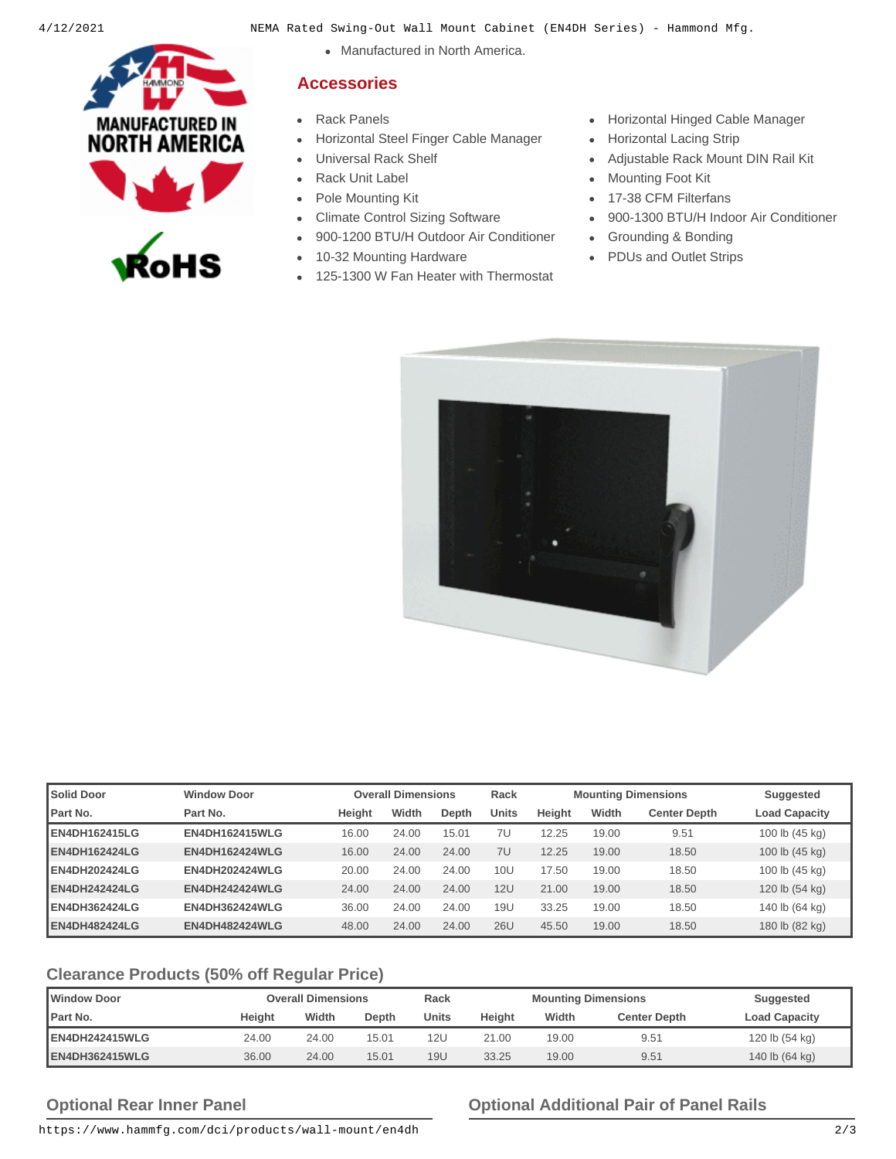

- 4/12/2021 NEMA Rated Swing-Out Wall Mount Cabinet (EN4DH Series) Hammond Mfg.
	- Manufactured in North America.

#### **Accessories**

- 
- [Horizontal Steel Finger Cable Manager](https://www.hammfg.com/dci/products/accessories/pcmds?referer=640&itm_type=accessory) [Horizontal Lacing Strip](https://www.hammfg.com/dci/products/accessories/hcm?referer=640&itm_type=accessory)
- 
- 
- 
- 
- [900-1200 BTU/H Outdoor Air Conditioner](https://www.hammfg.com/electrical/products/climate/dts3031?referer=640&itm_type=accessory) [Grounding & Bonding](https://www.hammfg.com/dci/products/accessories/grounding?referer=640&itm_type=accessory)
- 
- [125-1300 W Fan Heater with Thermostat](https://www.hammfg.com/electrical/products/climate/flh?referer=640&itm_type=accessory)
- [Rack Panels](https://www.hammfg.com/dci/products/accessories/panels?referer=640&itm_type=accessory) **[Horizontal Hinged Cable Manager](https://www.hammfg.com/dci/products/accessories/pcmdd?referer=640&itm_type=accessory) Horizontal Hinged Cable Manager** 
	-
	- [Universal Rack Shelf](https://www.hammfg.com/dci/products/accessories/ras?referer=640&itm_type=accessory) **[Adjustable Rack Mount DIN Rail Kit](https://www.hammfg.com/dci/products/accessories/rmad?referer=640&itm_type=accessory)**
	- [Rack Unit Label](https://www.hammfg.com/dci/products/accessories/rulbk?referer=640&itm_type=accessory) **[Mounting Foot Kit](https://www.hammfg.com/electrical/products/accessories/emf?referer=640&itm_type=accessory)**
- [Pole Mounting Kit](https://www.hammfg.com/electrical/products/accessories/pmk?referer=640&itm_type=accessory) **[17-38 CFM Filterfans](https://www.hammfg.com/electrical/products/climate/pf11?referer=640&itm_type=accessory)**
- [Climate Control Sizing Software](https://www.hammfg.com/electrical/hss?referer=640&itm_type=accessory) [900-1300 BTU/H Indoor Air Conditioner](https://www.hammfg.com/electrical/products/climate/dts3021?referer=640&itm_type=accessory)
	-
- [10-32 Mounting Hardware](https://www.hammfg.com/dci/products/accessories/mounting-hardware/10-32?referer=640&itm_type=accessory) **Conservation Conservation Conservation** [PDUs and Outlet Strips](https://www.hammfg.com/electronics/outlet-strips?referer=640&itm_type=accessory)



| <b>Solid Door</b>    | <b>Window Door</b>    |        | <b>Overall Dimensions</b> |       | Rack         |               |       | <b>Mounting Dimensions</b> | Suggested            |
|----------------------|-----------------------|--------|---------------------------|-------|--------------|---------------|-------|----------------------------|----------------------|
| <b>I</b> Part No.    | Part No.              | Height | Width                     | Depth | <b>Units</b> | <b>Height</b> | Width | <b>Center Depth</b>        | <b>Load Capacity</b> |
| EN4DH162415LG        | <b>EN4DH162415WLG</b> | 16.00  | 24.00                     | 15.01 | 7U           | 12.25         | 19.00 | 9.51                       | 100 lb (45 kg)       |
| EN4DH162424LG        | <b>EN4DH162424WLG</b> | 16.00  | 24.00                     | 24.00 | 7U           | 12.25         | 19.00 | 18.50                      | 100 lb (45 kg)       |
| EN4DH202424LG        | <b>EN4DH202424WLG</b> | 20.00  | 24.00                     | 24.00 | <b>10U</b>   | 17.50         | 19.00 | 18.50                      | 100 lb (45 kg)       |
| <b>EN4DH242424LG</b> | <b>EN4DH242424WLG</b> | 24.00  | 24.00                     | 24.00 | <b>12U</b>   | 21.00         | 19.00 | 18.50                      | 120 lb (54 kg)       |
| EN4DH362424LG        | <b>EN4DH362424WLG</b> | 36.00  | 24.00                     | 24.00 | 19U          | 33.25         | 19.00 | 18.50                      | 140 lb (64 kg)       |
| <b>EN4DH482424LG</b> | <b>EN4DH482424WLG</b> | 48.00  | 24.00                     | 24.00 | <b>26U</b>   | 45.50         | 19.00 | 18.50                      | 180 lb (82 kg)       |

# **Clearance Products (50% off Regular Price)**

| <b>Window Door</b> | <b>Overall Dimensions</b> |       | Rack  | <b>Mounting Dimensions</b> |        |       | Suggested           |                      |
|--------------------|---------------------------|-------|-------|----------------------------|--------|-------|---------------------|----------------------|
| <b>Part No.</b>    | Height                    | Width | Depth | Units                      | Height | Width | <b>Center Depth</b> | <b>Load Capacity</b> |
| EN4DH242415WLG     | 24.00                     | 24.00 | 15.01 | 12U                        | 21.00  | 19.00 | 9.51                | 120 lb (54 kg)       |
| EN4DH362415WLG     | 36.00                     | 24.00 | 15.01 | 19U                        | 33.25  | 19.00 | 9.51                | 140 lb (64 kg)       |

# **Optional Rear Inner Panel Optional Additional Pair of Panel Rails**

https://www.hammfg.com/dci/products/wall-mount/en4dh 2/3